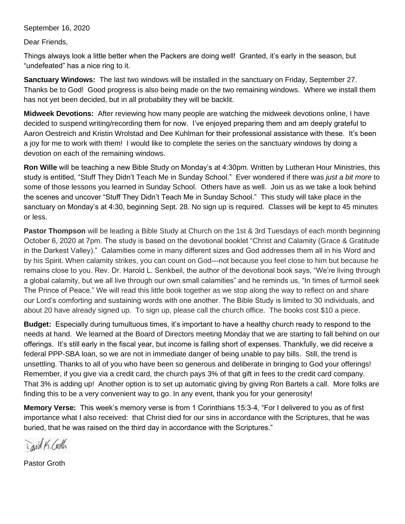September 16, 2020

Dear Friends,

Things always look a little better when the Packers are doing well! Granted, it's early in the season, but "undefeated" has a nice ring to it.

**Sanctuary Windows:** The last two windows will be installed in the sanctuary on Friday, September 27. Thanks be to God! Good progress is also being made on the two remaining windows. Where we install them has not yet been decided, but in all probability they will be backlit.

**Midweek Devotions:** After reviewing how many people are watching the midweek devotions online, I have decided to suspend writing/recording them for now. I've enjoyed preparing them and am deeply grateful to Aaron Oestreich and Kristin Wrolstad and Dee Kuhlman for their professional assistance with these. It's been a joy for me to work with them! I would like to complete the series on the sanctuary windows by doing a devotion on each of the remaining windows.

**Ron Wille** will be teaching a new Bible Study on Monday's at 4:30pm. Written by Lutheran Hour Ministries, this study is entitled, "Stuff They Didn't Teach Me in Sunday School." Ever wondered if there was *just a bit more* to some of those lessons you learned in Sunday School. Others have as well. Join us as we take a look behind the scenes and uncover "Stuff They Didn't Teach Me in Sunday School." This study will take place in the sanctuary on Monday's at 4:30, beginning Sept. 28. No sign up is required. Classes will be kept to 45 minutes or less.

**Pastor Thompson** will be leading a Bible Study at Church on the 1st & 3rd Tuesdays of each month beginning October 6, 2020 at 7pm. The study is based on the devotional booklet "Christ and Calamity (Grace & Gratitude in the Darkest Valley)." Calamities come in many different sizes and God addresses them all in his Word and by his Spirit. When calamity strikes, you can count on God—not because you feel close to him but because he remains close to you. Rev. Dr. Harold L. Senkbeil, the author of the devotional book says, "We're living through a global calamity, but we all live through our own small calamities" and he reminds us, "In times of turmoil seek The Prince of Peace." We will read this little book together as we stop along the way to reflect on and share our Lord's comforting and sustaining words with one another. The Bible Study is limited to 30 individuals, and about 20 have already signed up. To sign up, please call the church office. The books cost \$10 a piece.

**Budget:** Especially during tumultuous times, it's important to have a healthy church ready to respond to the needs at hand. We learned at the Board of Directors meeting Monday that we are starting to fall behind on our offerings. It's still early in the fiscal year, but income is falling short of expenses. Thankfully, we did receive a federal PPP-SBA loan, so we are not in immediate danger of being unable to pay bills. Still, the trend is unsettling. Thanks to all of you who have been so generous and deliberate in bringing to God your offerings! Remember, if you give via a credit card, the church pays 3% of that gift in fees to the credit card company. That 3% is adding up! Another option is to set up automatic giving by giving Ron Bartels a call. More folks are finding this to be a very convenient way to go. In any event, thank you for your generosity!

**Memory Verse:** This week's memory verse is from 1 Corinthians 15:3-4, "For I delivered to you as of first importance what I also received: that Christ died for our sins in accordance with the Scriptures, that he was buried, that he was raised on the third day in accordance with the Scriptures."

Tavid K. Codh

Pastor Groth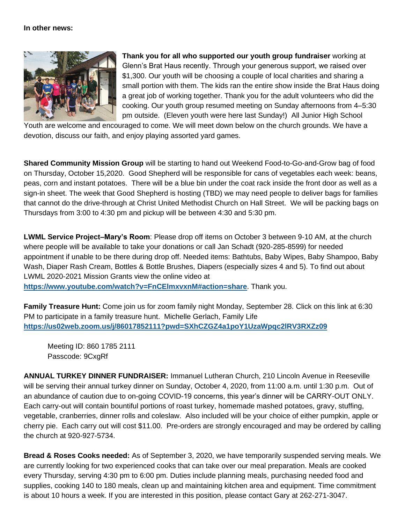## **In other news:**



**Thank you for all who supported our youth group fundraiser** working at Glenn's Brat Haus recently. Through your generous support, we raised over \$1,300. Our youth will be choosing a couple of local charities and sharing a small portion with them. The kids ran the entire show inside the Brat Haus doing a great job of working together. Thank you for the adult volunteers who did the cooking. Our youth group resumed meeting on Sunday afternoons from 4–5:30 pm outside. (Eleven youth were here last Sunday!) All Junior High School

Youth are welcome and encouraged to come. We will meet down below on the church grounds. We have a devotion, discuss our faith, and enjoy playing assorted yard games.

**Shared Community Mission Group** will be starting to hand out Weekend Food-to-Go-and-Grow bag of food on Thursday, October 15,2020. Good Shepherd will be responsible for cans of vegetables each week: beans, peas, corn and instant potatoes. There will be a blue bin under the coat rack inside the front door as well as a sign-in sheet. The week that Good Shepherd is hosting (TBD) we may need people to deliver bags for families that cannot do the drive-through at Christ United Methodist Church on Hall Street. We will be packing bags on Thursdays from 3:00 to 4:30 pm and pickup will be between 4:30 and 5:30 pm.

**LWML Service Project–Mary's Room**: Please drop off items on October 3 between 9-10 AM, at the church where people will be available to take your donations or call Jan Schadt (920-285-8599) for needed appointment if unable to be there during drop off. Needed items: Bathtubs, Baby Wipes, Baby Shampoo, Baby Wash, Diaper Rash Cream, Bottles & Bottle Brushes, Diapers (especially sizes 4 and 5). To find out about LWML 2020-2021 Mission Grants view the online video at **https://www.youtube.com/watch?v=FnCElmxvxnM#action=share**. Thank you.

**Family Treasure Hunt:** Come join us for zoom family night Monday, September 28. Click on this link at 6:30 PM to participate in a family treasure hunt. Michelle Gerlach, Family Life **<https://us02web.zoom.us/j/86017852111?pwd=SXhCZGZ4a1poY1UzaWpqc2lRV3RXZz09>**

Meeting ID: 860 1785 2111 Passcode: 9CxgRf

**ANNUAL TURKEY DINNER FUNDRAISER:** Immanuel Lutheran Church, 210 Lincoln Avenue in Reeseville will be serving their annual turkey dinner on Sunday, October 4, 2020, from 11:00 a.m. until 1:30 p.m. Out of an abundance of caution due to on-going COVID-19 concerns, this year's dinner will be CARRY-OUT ONLY. Each carry-out will contain bountiful portions of roast turkey, homemade mashed potatoes, gravy, stuffing, vegetable, cranberries, dinner rolls and coleslaw. Also included will be your choice of either pumpkin, apple or cherry pie. Each carry out will cost \$11.00. Pre-orders are strongly encouraged and may be ordered by calling the church at 920-927-5734.

**Bread & Roses Cooks needed:** As of September 3, 2020, we have temporarily suspended serving meals. We are currently looking for two experienced cooks that can take over our meal preparation. Meals are cooked every Thursday, serving 4:30 pm to 6:00 pm. Duties include planning meals, purchasing needed food and supplies, cooking 140 to 180 meals, clean up and maintaining kitchen area and equipment. Time commitment is about 10 hours a week. If you are interested in this position, please contact Gary at 262-271-3047.